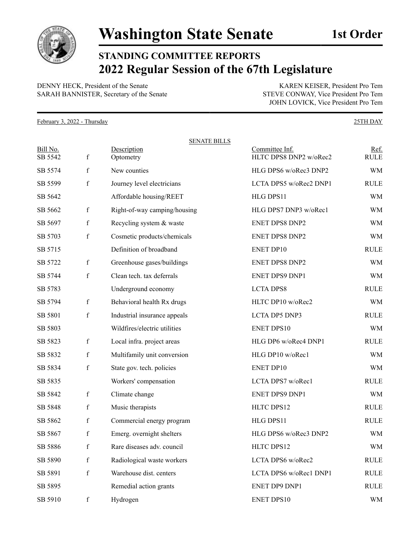

## **STANDING COMMITTEE REPORTS 2022 Regular Session of the 67th Legislature**

DENNY HECK, President of the Senate KAREN KEISER, President Pro Tem SARAH BANNISTER, Secretary of the Senate STEVE CONWAY, Vice President Pro Tem

JOHN LOVICK, Vice President Pro Tem

February 3, 2022 - Thursday 25TH DAY

| Bill No.<br>SB 5542 | $\mathbf f$ | <b>SENATE BILLS</b><br>Description<br>Optometry | Committee Inf.<br>HLTC DPS8 DNP2 w/oRec2 | Ref.<br><b>RULE</b> |
|---------------------|-------------|-------------------------------------------------|------------------------------------------|---------------------|
| SB 5574             | f           | New counties                                    | HLG DPS6 w/oRec3 DNP2                    | <b>WM</b>           |
| SB 5599             | $\mathbf f$ | Journey level electricians                      | LCTA DPS5 w/oRec2 DNP1                   | <b>RULE</b>         |
| SB 5642             |             | Affordable housing/REET                         | HLG DPS11                                | <b>WM</b>           |
| SB 5662             | $\mathbf f$ | Right-of-way camping/housing                    | HLG DPS7 DNP3 w/oRec1                    | <b>WM</b>           |
| SB 5697             | f           | Recycling system & waste                        | ENET DPS8 DNP2                           | <b>WM</b>           |
| SB 5703             | $\mathbf f$ | Cosmetic products/chemicals                     | ENET DPS8 DNP2                           | <b>WM</b>           |
| SB 5715             |             | Definition of broadband                         | ENET DP10                                | <b>RULE</b>         |
| SB 5722             | $\mathbf f$ | Greenhouse gases/buildings                      | ENET DPS8 DNP2                           | <b>WM</b>           |
| SB 5744             | $\mathbf f$ | Clean tech. tax deferrals                       | ENET DPS9 DNP1                           | <b>WM</b>           |
| SB 5783             |             | Underground economy                             | <b>LCTA DPS8</b>                         | <b>RULE</b>         |
| SB 5794             | $\mathbf f$ | Behavioral health Rx drugs                      | HLTC DP10 w/oRec2                        | <b>WM</b>           |
| SB 5801             | $\mathbf f$ | Industrial insurance appeals                    | LCTA DP5 DNP3                            | <b>RULE</b>         |
| SB 5803             |             | Wildfires/electric utilities                    | <b>ENET DPS10</b>                        | <b>WM</b>           |
| SB 5823             | f           | Local infra. project areas                      | HLG DP6 w/oRec4 DNP1                     | <b>RULE</b>         |
| SB 5832             | $\mathbf f$ | Multifamily unit conversion                     | HLG DP10 w/oRec1                         | <b>WM</b>           |
| SB 5834             | $\mathbf f$ | State gov. tech. policies                       | <b>ENET DP10</b>                         | <b>WM</b>           |
| SB 5835             |             | Workers' compensation                           | LCTA DPS7 w/oRec1                        | <b>RULE</b>         |
| SB 5842             | f           | Climate change                                  | ENET DPS9 DNP1                           | <b>WM</b>           |
| SB 5848             | f           | Music therapists                                | HLTC DPS12                               | <b>RULE</b>         |
| SB 5862             | f           | Commercial energy program                       | HLG DPS11                                | <b>RULE</b>         |
| SB 5867             | $\mathbf f$ | Emerg. overnight shelters                       | HLG DPS6 w/oRec3 DNP2                    | WM                  |
| SB 5886             | $\mathbf f$ | Rare diseases adv. council                      | HLTC DPS12                               | <b>WM</b>           |
| SB 5890             | f           | Radiological waste workers                      | LCTA DPS6 w/oRec2                        | <b>RULE</b>         |
| SB 5891             | $\mathbf f$ | Warehouse dist. centers                         | LCTA DPS6 w/oRec1 DNP1                   | <b>RULE</b>         |
| SB 5895             |             | Remedial action grants                          | ENET DP9 DNP1                            | <b>RULE</b>         |
| SB 5910             | $\mathbf f$ | Hydrogen                                        | <b>ENET DPS10</b>                        | <b>WM</b>           |